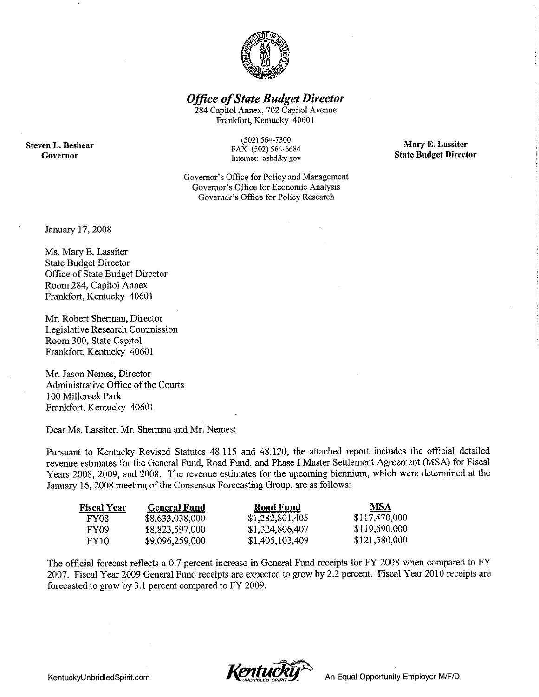

**Office of State Budget Director** 

284 Capitol Annex, 702 Capitol Avenue Frankfort, Kentucky 40601

**Steven L. Beshear** Governor

 $(502) 564 - 7300$ FAX: (502) 564-6684 Internet: osbd.ky.gov

Governor's Office for Policy and Management Governor's Office for Economic Analysis Governor's Office for Policy Research

Mary E. Lassiter **State Budget Director** 

January 17, 2008

Ms. Mary E. Lassiter **State Budget Director** Office of State Budget Director Room 284, Capitol Annex Frankfort, Kentucky 40601

Mr. Robert Sherman, Director Legislative Research Commission Room 300, State Capitol Frankfort, Kentucky 40601

Mr. Jason Nemes, Director Administrative Office of the Courts 100 Millcreek Park Frankfort, Kentucky 40601

Dear Ms. Lassiter, Mr. Sherman and Mr. Nemes:

Pursuant to Kentucky Revised Statutes 48.115 and 48.120, the attached report includes the official detailed revenue estimates for the General Fund, Road Fund, and Phase I Master Settlement Agreement (MSA) for Fiscal Years 2008, 2009, and 2008. The revenue estimates for the upcoming biennium, which were determined at the January 16, 2008 meeting of the Consensus Forecasting Group, are as follows:

| <b>Fiscal Year</b> | <b>General Fund</b> | Road Fund       | MSA           |
|--------------------|---------------------|-----------------|---------------|
| FY08               | \$8,633,038,000     | \$1,282,801,405 | \$117,470,000 |
| FY09               | \$8,823,597,000     | \$1,324,806,407 | \$119,690,000 |
| FY10               | \$9,096,259,000     | \$1,405,103,409 | \$121,580,000 |

The official forecast reflects a 0.7 percent increase in General Fund receipts for FY 2008 when compared to FY 2007. Fiscal Year 2009 General Fund receipts are expected to grow by 2.2 percent. Fiscal Year 2010 receipts are forecasted to grow by 3.1 percent compared to FY 2009.

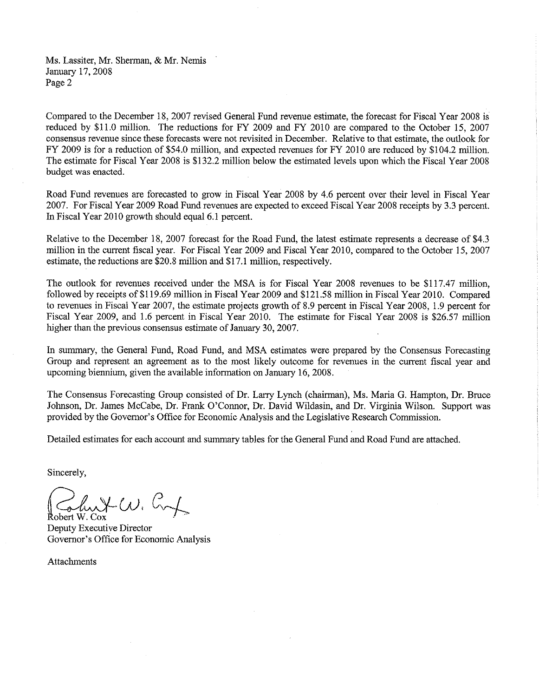Ms. Lassiter, Mr. Sherman, & Mr. Nemis January 17, 2008 Page 2

Compared to the December 18, 2007 revised General Fund revenue estimate, the forecast for Fiscal Year 2008 is reduced by \$11.0 million. The reductions for FY 2009 and FY 2010 are compared to the October 15, 2007 consensus revenue since these forecasts were not revisited in December. Relative to that estimate, the outlook for FY 2009 is for a reduction of \$54.0 million, and expected revenues for FY 2010 are reduced by \$104.2 million. The estimate for Fiscal Year 2008 is \$132.2 million below the estimated levels upon which the Fiscal Year 2008 budget was enacted.

Road Fund revenues are forecasted to grow in Fiscal Year 2008 by 4.6 percent over their level in Fiscal Year 2007. For Fiscal Year 2009 Road Fund revenues are expected to exceed Fiscal Year 2008 receipts by 3.3 percent. In Fiscal Year 2010 growth should equal 6.1 percent.

Relative to the December 18, 2007 forecast for the Road Fund, the latest estimate represents a decrease of \$4.3 million in the current fiscal year. For Fiscal Year 2009 and Fiscal Year 2010, compared to the October 15, 2007 estimate, the reductions are \$20.8 million and \$17.1 million, respectively.

The outlook for revenues received under the MSA is for Fiscal Year 2008 revenues to be \$117,47 million. followed by receipts of \$119.69 million in Fiscal Year 2009 and \$121.58 million in Fiscal Year 2010. Compared to revenues in Fiscal Year 2007, the estimate projects growth of 8.9 percent in Fiscal Year 2008, 1.9 percent for Fiscal Year 2009, and 1.6 percent in Fiscal Year 2010. The estimate for Fiscal Year 2008 is \$26.57 million higher than the previous consensus estimate of January 30, 2007.

In summary, the General Fund, Road Fund, and MSA estimates were prepared by the Consensus Forecasting Group and represent an agreement as to the most likely outcome for revenues in the current fiscal year and upcoming biennium, given the available information on January 16, 2008.

The Consensus Forecasting Group consisted of Dr. Larry Lynch (chairman), Ms. Maria G. Hampton, Dr. Bruce Johnson, Dr. James McCabe, Dr. Frank O'Connor, Dr. David Wildasin, and Dr. Virginia Wilson. Support was provided by the Governor's Office for Economic Analysis and the Legislative Research Commission.

Detailed estimates for each account and summary tables for the General Fund and Road Fund are attached.

Sincerely.

 $x\omega c$ Robert W. Cox

Deputy Executive Director Governor's Office for Economic Analysis

Attachments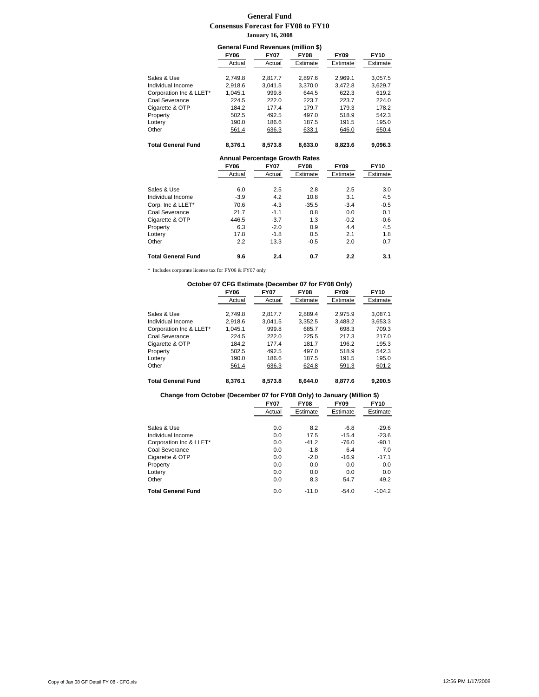#### **General Fund Consensus Forecast for FY08 to FY10 January 16, 2008**

| General Fund Revenues (million \$) |             |                                       |             |             |             |
|------------------------------------|-------------|---------------------------------------|-------------|-------------|-------------|
|                                    | <b>FY06</b> | <b>FY07</b>                           | <b>FY08</b> | <b>FY09</b> | <b>FY10</b> |
|                                    | Actual      | Actual                                | Estimate    | Estimate    | Estimate    |
|                                    |             |                                       |             |             |             |
| Sales & Use                        | 2,749.8     | 2,817.7                               | 2,897.6     | 2,969.1     | 3,057.5     |
| Individual Income                  | 2.918.6     | 3.041.5                               | 3.370.0     | 3.472.8     | 3.629.7     |
| Corporation Inc & LLET*            | 1.045.1     | 999.8                                 | 644.5       | 622.3       | 619.2       |
| Coal Severance                     | 224.5       | 222.0                                 | 223.7       | 223.7       | 224.0       |
| Cigarette & OTP                    | 184.2       | 177.4                                 | 179.7       | 179.3       | 178.2       |
| Property                           | 502.5       | 492.5                                 | 497.0       | 518.9       | 542.3       |
| Lottery                            | 190.0       | 186.6                                 | 187.5       | 191.5       | 195.0       |
| Other                              | 561.4       | 636.3                                 | 633.1       | 646.0       | 650.4       |
|                                    |             |                                       |             |             |             |
| <b>Total General Fund</b>          | 8,376.1     | 8,573.8                               | 8,633.0     | 8,823.6     | 9,096.3     |
|                                    |             | <b>Annual Percentage Growth Rates</b> |             |             |             |
|                                    | <b>FY06</b> | <b>FY07</b>                           | <b>FY08</b> | <b>FY09</b> | <b>FY10</b> |
|                                    | Actual      | Actual                                | Estimate    | Estimate    | Estimate    |
|                                    |             |                                       |             |             |             |
| Sales & Use                        | 6.0         | 2.5                                   | 2.8         | 2.5         | 3.0         |
| Individual Income                  | $-3.9$      | 4.2                                   | 10.8        | 3.1         | 4.5         |
| Corp. Inc & LLET*                  | 70.6        | $-4.3$                                | $-35.5$     | $-3.4$      | $-0.5$      |
| Coal Severance                     | 21.7        | $-1.1$                                | 0.8         | 0.0         | 0.1         |
| Cigarette & OTP                    | 446.5       | $-3.7$                                | 1.3         | $-0.2$      | $-0.6$      |
| Property                           | 6.3         | $-2.0$                                | 0.9         | 4.4         | 4.5         |
| Lottery                            | 17.8        | $-1.8$                                | 0.5         | 2.1         | 1.8         |
| Other                              | 2.2         | 13.3                                  | $-0.5$      | 2.0         | 0.7         |
|                                    |             |                                       |             |             |             |

\* Includes corporate license tax for FY06 & FY07 only

| October 07 CFG Estimate (December 07 for FY08 Only) |             |             |             |             |             |
|-----------------------------------------------------|-------------|-------------|-------------|-------------|-------------|
|                                                     | <b>FY06</b> | <b>FY07</b> | <b>FY08</b> | <b>FY09</b> | <b>FY10</b> |
|                                                     | Actual      | Actual      | Estimate    | Estimate    | Estimate    |
| Sales & Use                                         | 2.749.8     | 2.817.7     | 2.889.4     | 2.975.9     | 3.087.1     |
| Individual Income                                   | 2.918.6     | 3.041.5     | 3.352.5     | 3.488.2     | 3,653.3     |
| Corporation Inc & LLET*                             | 1.045.1     | 999.8       | 685.7       | 698.3       | 709.3       |
| Coal Severance                                      | 224.5       | 222.0       | 225.5       | 217.3       | 217.0       |
| Cigarette & OTP                                     | 184.2       | 177.4       | 181.7       | 196.2       | 195.3       |
| Property                                            | 502.5       | 492.5       | 497.0       | 518.9       | 542.3       |
| Lottery                                             | 190.0       | 186.6       | 187.5       | 191.5       | 195.0       |
| Other                                               | 561.4       | 636.3       | 624.8       | 591.3       | 601.2       |
| <b>Total General Fund</b>                           | 8.376.1     | 8.573.8     | 8.644.0     | 8.877.6     | 9.200.5     |

| Change from October (December 07 for FY08 Only) to January (Million \$) |             |             |             |             |
|-------------------------------------------------------------------------|-------------|-------------|-------------|-------------|
|                                                                         | <b>FY07</b> | <b>FY08</b> | <b>FY09</b> | <b>FY10</b> |
|                                                                         | Actual      | Estimate    | Estimate    | Estimate    |
| Sales & Use                                                             | 0.0         | 8.2         | $-6.8$      | $-29.6$     |
| Individual Income                                                       | 0.0         | 17.5        | $-15.4$     | $-23.6$     |
| Corporation Inc & LLET*                                                 | 0.0         | $-41.2$     | $-76.0$     | $-90.1$     |
| Coal Severance                                                          | 0.0         | $-1.8$      | 6.4         | 7.0         |
| Cigarette & OTP                                                         | 0.0         | $-2.0$      | $-16.9$     | $-17.1$     |
| Property                                                                | 0.0         | 0.0         | 0.0         | 0.0         |
| Lotterv                                                                 | 0.0         | 0.0         | 0.0         | 0.0         |
| Other                                                                   | 0.0         | 8.3         | 54.7        | 49.2        |
| <b>Total General Fund</b>                                               | 0.0         | $-11.0$     | $-54.0$     | $-104.2$    |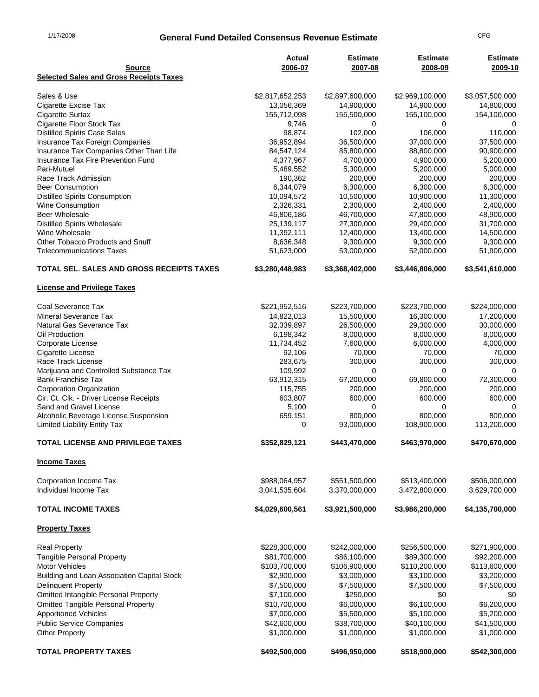# 1/17/2008 **General Fund Detailed Consensus Revenue Estimate** CFG

| <b>Source</b>                                                                 | Actual<br>2006-07       | <b>Estimate</b><br>2007-08 | <b>Estimate</b><br>2008-09 | <b>Estimate</b><br>2009-10 |
|-------------------------------------------------------------------------------|-------------------------|----------------------------|----------------------------|----------------------------|
| <b>Selected Sales and Gross Receipts Taxes</b>                                |                         |                            |                            |                            |
| Sales & Use                                                                   | \$2,817,652,253         | \$2,897,600,000            | \$2,969,100,000            | \$3,057,500,000            |
| Cigarette Excise Tax                                                          | 13,056,369              | 14,900,000                 | 14,900,000                 | 14,800,000                 |
| <b>Cigarette Surtax</b>                                                       | 155,712,098             | 155,500,000                | 155,100,000                | 154,100,000                |
| Cigarette Floor Stock Tax                                                     | 9,746                   | 0                          | 0                          | 0                          |
| <b>Distilled Spirits Case Sales</b>                                           | 98,874                  | 102,000                    | 106,000                    | 110,000                    |
| Insurance Tax Foreign Companies                                               | 36,952,894              | 36,500,000                 | 37,000,000                 | 37,500,000                 |
| Insurance Tax Companies Other Than Life<br>Insurance Tax Fire Prevention Fund | 84,547,124<br>4,377,967 | 85,800,000<br>4,700,000    | 88,800,000<br>4,900,000    | 90,900,000<br>5,200,000    |
| Pari-Mutuel                                                                   | 5,489,552               | 5,300,000                  | 5,200,000                  | 5,000,000                  |
| Race Track Admission                                                          | 190,362                 | 200,000                    | 200,000                    | 200,000                    |
| <b>Beer Consumption</b>                                                       | 6,344,079               | 6,300,000                  | 6,300,000                  | 6,300,000                  |
| <b>Distilled Spirits Consumption</b>                                          | 10,094,572              | 10,500,000                 | 10,900,000                 | 11,300,000                 |
| <b>Wine Consumption</b>                                                       | 2,326,331               | 2,300,000                  | 2,400,000                  | 2,400,000                  |
| <b>Beer Wholesale</b>                                                         | 46,806,186              | 46,700,000                 | 47,800,000                 | 48,900,000                 |
| <b>Distilled Spirits Wholesale</b>                                            | 25,139,117              | 27,300,000                 | 29,400,000                 | 31,700,000                 |
| Wine Wholesale                                                                | 11,392,111              | 12,400,000                 | 13,400,000                 | 14,500,000                 |
| Other Tobacco Products and Snuff                                              | 8,636,348               | 9,300,000                  | 9,300,000                  | 9,300,000                  |
| <b>Telecommunications Taxes</b>                                               | 51,623,000              | 53,000,000                 | 52,000,000                 | 51,900,000                 |
| TOTAL SEL. SALES AND GROSS RECEIPTS TAXES                                     | \$3,280,448,983         | \$3,368,402,000            | \$3,446,806,000            | \$3,541,610,000            |
| <b>License and Privilege Taxes</b>                                            |                         |                            |                            |                            |
| Coal Severance Tax                                                            | \$221,952,516           | \$223,700,000              | \$223,700,000              | \$224,000,000              |
| <b>Mineral Severance Tax</b>                                                  | 14,822,013              | 15,500,000                 | 16,300,000                 | 17,200,000                 |
| Natural Gas Severance Tax                                                     | 32,339,897              | 26,500,000                 | 29,300,000                 | 30,000,000                 |
| Oil Production                                                                | 6,198,342               | 8,000,000                  | 8,000,000                  | 8,000,000                  |
| Corporate License                                                             | 11,734,452              | 7,600,000                  | 6,000,000                  | 4,000,000                  |
| Cigarette License                                                             | 92,106                  | 70,000                     | 70,000                     | 70,000                     |
| Race Track License                                                            | 283,675                 | 300,000                    | 300,000                    | 300,000                    |
| Marijuana and Controlled Substance Tax                                        | 109,992                 | 0                          | 0                          | $\Omega$                   |
| <b>Bank Franchise Tax</b>                                                     | 63,912,315              | 67,200,000                 | 69,800,000                 | 72,300,000                 |
| Corporation Organization                                                      | 115,755                 | 200,000                    | 200,000                    | 200,000                    |
| Cir. Ct. Clk. - Driver License Receipts<br>Sand and Gravel License            | 603,807<br>5,100        | 600,000<br>0               | 600,000<br>0               | 600,000<br>0               |
| Alcoholic Beverage License Suspension                                         | 659,151                 | 800.000                    | 800,000                    | 800.000                    |
| <b>Limited Liability Entity Tax</b>                                           | 0                       | 93,000,000                 | 108,900,000                | 113,200,000                |
| TOTAL LICENSE AND PRIVILEGE TAXES                                             | \$352,829,121           | \$443,470,000              | \$463,970,000              | \$470,670,000              |
| <b>Income Taxes</b>                                                           |                         |                            |                            |                            |
| Corporation Income Tax                                                        | \$988,064,957           | \$551,500,000              | \$513,400,000              | \$506,000,000              |
| Individual Income Tax                                                         | 3,041,535,604           | 3,370,000,000              | 3,472,800,000              | 3,629,700,000              |
| <b>TOTAL INCOME TAXES</b>                                                     | \$4,029,600,561         | \$3,921,500,000            | \$3,986,200,000            | \$4,135,700,000            |
| <b>Property Taxes</b>                                                         |                         |                            |                            |                            |
| <b>Real Property</b>                                                          | \$228,300,000           | \$242,000,000              | \$256,500,000              | \$271,900,000              |
| <b>Tangible Personal Property</b>                                             | \$81,700,000            | \$86,100,000               | \$89,300,000               | \$92,200,000               |
| <b>Motor Vehicles</b>                                                         | \$103,700,000           | \$106,900,000              | \$110,200,000              | \$113,600,000              |
| Building and Loan Association Capital Stock                                   | \$2,900,000             | \$3,000,000                | \$3,100,000                | \$3,200,000                |
| <b>Delinquent Property</b>                                                    | \$7,500,000             | \$7,500,000                | \$7,500,000                | \$7,500,000                |
| Omitted Intangible Personal Property                                          | \$7,100,000             | \$250,000                  | \$0                        | \$0                        |
| <b>Omitted Tangible Personal Property</b>                                     | \$10,700,000            | \$6,000,000                | \$6,100,000                | \$6,200,000                |
| <b>Apportioned Vehicles</b>                                                   | \$7,000,000             | \$5,500,000                | \$5,100,000                | \$5,200,000                |
| <b>Public Service Companies</b>                                               | \$42,600,000            | \$38,700,000               | \$40,100,000               | \$41,500,000               |
| <b>Other Property</b>                                                         | \$1,000,000             | \$1,000,000                | \$1,000,000                | \$1,000,000                |
| <b>TOTAL PROPERTY TAXES</b>                                                   | \$492,500,000           | \$496,950,000              | \$518,900,000              | \$542,300,000              |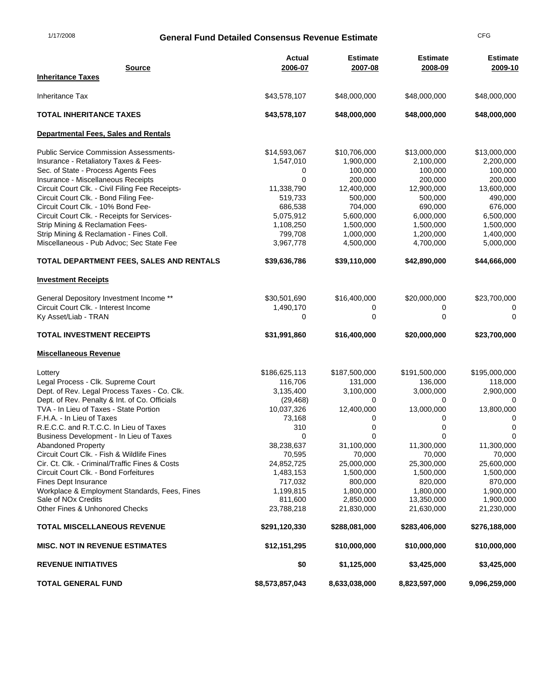## 1/17/2008 **General Fund Detailed Consensus Revenue Estimate** CFG

| <b>Source</b>                                                     | <b>Actual</b><br>2006-07 | <b>Estimate</b><br>2007-08 | <b>Estimate</b><br>2008-09 | <b>Estimate</b><br>2009-10 |
|-------------------------------------------------------------------|--------------------------|----------------------------|----------------------------|----------------------------|
| <b>Inheritance Taxes</b>                                          |                          |                            |                            |                            |
| Inheritance Tax                                                   | \$43,578,107             | \$48,000,000               | \$48,000,000               | \$48,000,000               |
| <b>TOTAL INHERITANCE TAXES</b>                                    | \$43,578,107             | \$48,000,000               | \$48,000,000               | \$48,000,000               |
| Departmental Fees, Sales and Rentals                              |                          |                            |                            |                            |
| <b>Public Service Commission Assessments-</b>                     | \$14,593,067             | \$10,706,000               | \$13,000,000               | \$13,000,000               |
| Insurance - Retaliatory Taxes & Fees-                             | 1,547,010                | 1,900,000                  | 2,100,000                  | 2,200,000                  |
| Sec. of State - Process Agents Fees                               | 0                        | 100,000                    | 100,000                    | 100,000                    |
| Insurance - Miscellaneous Receipts                                | 0                        | 200,000                    | 200,000                    | 200,000                    |
| Circuit Court Clk. - Civil Filing Fee Receipts-                   | 11,338,790               | 12,400,000                 | 12,900,000                 | 13,600,000                 |
| Circuit Court Clk. - Bond Filing Fee-                             | 519,733                  | 500,000                    | 500,000                    | 490,000                    |
| Circuit Court Clk. - 10% Bond Fee-                                | 686,538                  | 704,000                    | 690,000                    | 676,000                    |
| Circuit Court Clk. - Receipts for Services-                       | 5,075,912                | 5,600,000                  | 6,000,000                  | 6,500,000                  |
| Strip Mining & Reclamation Fees-                                  | 1,108,250                | 1,500,000                  | 1,500,000                  | 1,500,000                  |
| Strip Mining & Reclamation - Fines Coll.                          | 799,708                  | 1,000,000                  | 1,200,000                  | 1,400,000                  |
| Miscellaneous - Pub Advoc; Sec State Fee                          | 3,967,778                | 4,500,000                  | 4,700,000                  | 5,000,000                  |
| TOTAL DEPARTMENT FEES, SALES AND RENTALS                          | \$39,636,786             | \$39,110,000               | \$42,890,000               | \$44,666,000               |
| <b>Investment Receipts</b>                                        |                          |                            |                            |                            |
| General Depository Investment Income **                           | \$30,501,690             | \$16,400,000               | \$20,000,000               | \$23,700,000               |
| Circuit Court Clk. - Interest Income                              | 1,490,170                | 0                          | 0                          |                            |
| Ky Asset/Liab - TRAN                                              | 0                        | 0                          | 0                          | $\Omega$                   |
| <b>TOTAL INVESTMENT RECEIPTS</b>                                  | \$31,991,860             | \$16,400,000               | \$20,000,000               | \$23,700,000               |
| <b>Miscellaneous Revenue</b>                                      |                          |                            |                            |                            |
| Lottery                                                           | \$186,625,113            | \$187,500,000              | \$191,500,000              | \$195,000,000              |
| Legal Process - Clk. Supreme Court                                | 116,706                  | 131,000                    | 136,000                    | 118,000                    |
| Dept. of Rev. Legal Process Taxes - Co. Clk.                      | 3,135,400                | 3,100,000                  | 3,000,000                  | 2,900,000                  |
| Dept. of Rev. Penalty & Int. of Co. Officials                     | (29, 468)                | 0                          | 0                          | 0                          |
| TVA - In Lieu of Taxes - State Portion                            | 10,037,326               | 12,400,000                 | 13,000,000                 | 13,800,000                 |
| F.H.A. - In Lieu of Taxes                                         | 73,168                   | 0                          | 0                          | 0                          |
| R.E.C.C. and R.T.C.C. In Lieu of Taxes                            | 310                      | 0                          | 0                          | $\mathbf 0$                |
| Business Development - In Lieu of Taxes                           | 0                        | $\mathbf 0$                | 0                          | 0                          |
| Abandoned Property                                                | 38,238,637               | 31,100,000                 | 11,300,000                 | 11,300,000                 |
| Circuit Court Clk. - Fish & Wildlife Fines                        | 70,595                   | 70,000                     | 70,000                     | 70,000                     |
| Cir. Ct. Clk. - Criminal/Traffic Fines & Costs                    | 24,852,725               | 25,000,000                 | 25,300,000                 | 25,600,000                 |
| Circuit Court Clk. - Bond Forfeitures                             | 1,483,153                | 1,500,000                  | 1,500,000                  | 1,500,000                  |
| <b>Fines Dept Insurance</b>                                       | 717,032                  | 800,000                    | 820,000                    | 870,000                    |
| Workplace & Employment Standards, Fees, Fines                     | 1,199,815                | 1,800,000                  | 1,800,000                  | 1,900,000                  |
| Sale of NO <sub>x</sub> Credits<br>Other Fines & Unhonored Checks | 811,600<br>23,788,218    | 2,850,000<br>21,830,000    | 13,350,000<br>21,630,000   | 1,900,000<br>21,230,000    |
|                                                                   |                          |                            |                            |                            |
| <b>TOTAL MISCELLANEOUS REVENUE</b>                                | \$291,120,330            | \$288,081,000              | \$283,406,000              | \$276,188,000              |
| <b>MISC. NOT IN REVENUE ESTIMATES</b>                             | \$12,151,295             | \$10,000,000               | \$10,000,000               | \$10,000,000               |
| <b>REVENUE INITIATIVES</b>                                        | \$0                      | \$1,125,000                | \$3,425,000                | \$3,425,000                |
| <b>TOTAL GENERAL FUND</b>                                         | \$8,573,857,043          | 8,633,038,000              | 8,823,597,000              | 9,096,259,000              |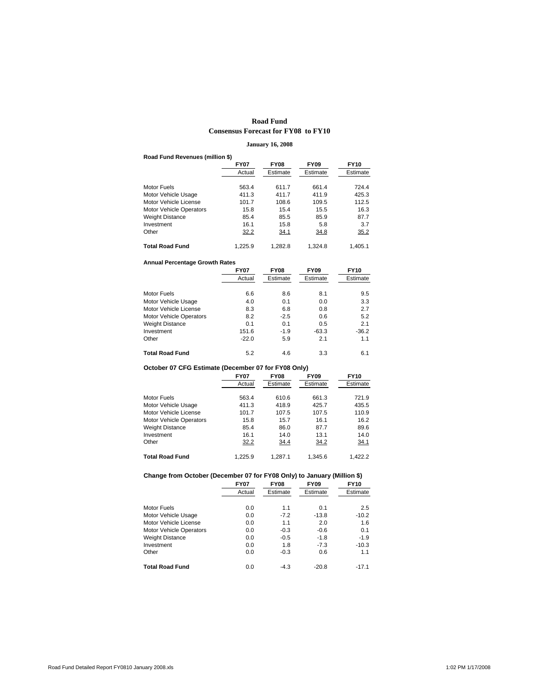## **Road Fund Consensus Forecast for FY08 to FY10**

### **January 16, 2008**

#### **Road Fund Revenues (million \$)**

|                                | <b>FY07</b> | <b>FY08</b> | <b>FY09</b> | <b>FY10</b> |
|--------------------------------|-------------|-------------|-------------|-------------|
|                                | Actual      | Estimate    | Estimate    | Estimate    |
| Motor Fuels                    | 563.4       | 611.7       | 661.4       | 724.4       |
| Motor Vehicle Usage            | 411.3       | 411.7       | 411.9       | 425.3       |
| Motor Vehicle License          | 101.7       | 108.6       | 109.5       | 112.5       |
| <b>Motor Vehicle Operators</b> | 15.8        | 15.4        | 15.5        | 16.3        |
| <b>Weight Distance</b>         | 85.4        | 85.5        | 85.9        | 87.7        |
| Investment                     | 16.1        | 15.8        | 5.8         | 3.7         |
| Other                          | 32.2        | 34.1        | 34.8        | 35.2        |
| <b>Total Road Fund</b>         | 1.225.9     | 1.282.8     | 1.324.8     | 1.405.1     |

#### **Annual Percentage Growth Rates**

|                                | <b>FY07</b> | <b>FY08</b> | <b>FY09</b> | <b>FY10</b> |
|--------------------------------|-------------|-------------|-------------|-------------|
|                                | Actual      | Estimate    | Estimate    | Estimate    |
|                                |             |             |             |             |
| Motor Fuels                    | 6.6         | 8.6         | 8.1         | 9.5         |
| Motor Vehicle Usage            | 4.0         | 0.1         | 0.0         | 3.3         |
| Motor Vehicle License          | 8.3         | 6.8         | 0.8         | 2.7         |
| <b>Motor Vehicle Operators</b> | 8.2         | $-2.5$      | 0.6         | 5.2         |
| <b>Weight Distance</b>         | 0.1         | 0.1         | 0.5         | 2.1         |
| Investment                     | 151.6       | $-1.9$      | $-63.3$     | $-36.2$     |
| Other                          | $-22.0$     | 5.9         | 2.1         | 1.1         |
| <b>Total Road Fund</b>         | 5.2         | 4.6         | 3.3         | 6.1         |

## **October 07 CFG Estimate (December 07 for FY08 Only)**

|                                | <b>FY07</b> | <b>FY08</b> | <b>FY09</b> | <b>FY10</b> |
|--------------------------------|-------------|-------------|-------------|-------------|
|                                | Actual      | Estimate    | Estimate    | Estimate    |
|                                |             |             |             |             |
| Motor Fuels                    | 563.4       | 610.6       | 661.3       | 721.9       |
| Motor Vehicle Usage            | 411.3       | 418.9       | 425.7       | 435.5       |
| Motor Vehicle License          | 101.7       | 107.5       | 107.5       | 110.9       |
| <b>Motor Vehicle Operators</b> | 15.8        | 15.7        | 16.1        | 16.2        |
| <b>Weight Distance</b>         | 85.4        | 86.0        | 87.7        | 89.6        |
| Investment                     | 16.1        | 14.0        | 13.1        | 14.0        |
| Other                          | 32.2        | 34.4        | 34.2        | 34.1        |
| Total Road Fund                | 1.225.9     | 1.287.1     | 1.345.6     | 1.422.2     |

### **Change from October (December 07 for FY08 Only) to January (Million \$)**

|                                | <b>FY07</b> | <b>FY08</b> | <b>FY09</b> | <b>FY10</b> |
|--------------------------------|-------------|-------------|-------------|-------------|
|                                | Actual      | Estimate    | Estimate    | Estimate    |
|                                |             |             |             |             |
| Motor Fuels                    | 0.0         | 1.1         | 0.1         | 2.5         |
| Motor Vehicle Usage            | 0.0         | $-7.2$      | $-13.8$     | $-10.2$     |
| Motor Vehicle License          | 0.0         | 1.1         | 2.0         | 1.6         |
| <b>Motor Vehicle Operators</b> | 0.0         | $-0.3$      | $-0.6$      | 0.1         |
| Weight Distance                | 0.0         | $-0.5$      | $-1.8$      | $-1.9$      |
| Investment                     | 0.0         | 1.8         | $-7.3$      | $-10.3$     |
| Other                          | 0.0         | $-0.3$      | 0.6         | 1.1         |
| Total Road Fund                | 0.0         | $-4.3$      | $-20.8$     | $-17.1$     |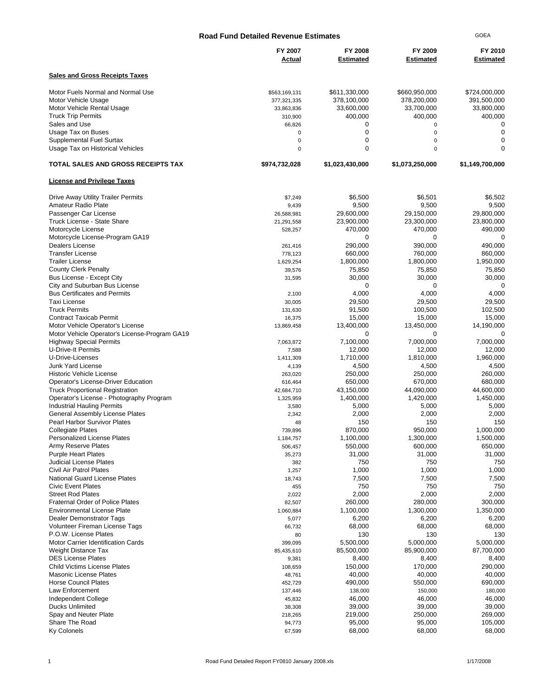| <b>Road Fund Detailed Revenue Estimates</b>                                   |                          |                             |                             | <b>GOEA</b>                 |
|-------------------------------------------------------------------------------|--------------------------|-----------------------------|-----------------------------|-----------------------------|
|                                                                               | FY 2007<br>Actual        | FY 2008<br><b>Estimated</b> | FY 2009<br><b>Estimated</b> | FY 2010<br><b>Estimated</b> |
| <b>Sales and Gross Receipts Taxes</b>                                         |                          |                             |                             |                             |
| Motor Fuels Normal and Normal Use                                             | \$563,169,131            | \$611,330,000               | \$660,950,000               | \$724,000,000               |
| Motor Vehicle Usage                                                           | 377,321,335              | 378,100,000                 | 378,200,000                 | 391,500,000                 |
| Motor Vehicle Rental Usage                                                    | 33,863,836               | 33,600,000                  | 33,700,000                  | 33,800,000                  |
| <b>Truck Trip Permits</b>                                                     | 310,900                  | 400,000                     | 400,000                     | 400,000                     |
| Sales and Use                                                                 | 66,826                   | 0                           | $\mathbf 0$                 | 0                           |
| Usage Tax on Buses                                                            | $\mathbf 0$              | $\mathbf 0$                 | $\mathbf 0$                 | 0                           |
| Supplemental Fuel Surtax<br>Usage Tax on Historical Vehicles                  | $\pmb{0}$<br>$\mathbf 0$ | 0<br>$\mathbf 0$            | $\mathbf 0$<br>$\mathbf 0$  | 0<br>0                      |
| TOTAL SALES AND GROSS RECEIPTS TAX                                            | \$974,732,028            | \$1,023,430,000             | \$1,073,250,000             | \$1,149,700,000             |
| <b>License and Privilege Taxes</b>                                            |                          |                             |                             |                             |
| Drive Away Utility Trailer Permits                                            | \$7,249                  | \$6,500                     | \$6,501                     | \$6,502                     |
| Amateur Radio Plate                                                           | 9,439                    | 9,500                       | 9,500                       | 9,500                       |
| Passenger Car License                                                         | 26,588,981               | 29,600,000                  | 29,150,000                  | 29,800,000                  |
| Truck License - State Share                                                   | 21,291,558               | 23,900,000                  | 23,300,000                  | 23,800,000                  |
| Motorcycle License                                                            | 528,257                  | 470,000                     | 470,000                     | 490,000                     |
| Motorcycle License-Program GA19                                               |                          | 0                           | 0                           | 0                           |
| Dealers License                                                               | 261.416                  | 290,000                     | 390,000                     | 490,000                     |
| <b>Transfer License</b>                                                       | 778,123                  | 660,000                     | 760,000                     | 860,000                     |
| <b>Trailer License</b>                                                        | 1,629,254                | 1,800,000                   | 1,800,000                   | 1,950,000                   |
| <b>County Clerk Penalty</b>                                                   | 39,576                   | 75,850                      | 75,850                      | 75,850                      |
| Bus License - Except City                                                     | 31,595                   | 30,000                      | 30,000                      | 30,000                      |
| City and Suburban Bus License                                                 |                          | 0                           | 0                           | 0                           |
| <b>Bus Certificates and Permits</b>                                           | 2,100                    | 4,000                       | 4,000                       | 4,000                       |
| Taxi License                                                                  | 30,005                   | 29,500                      | 29,500                      | 29,500                      |
| <b>Truck Permits</b>                                                          | 131,630                  | 91,500                      | 100,500                     | 102,500                     |
| <b>Contract Taxicab Permit</b>                                                | 16,375                   | 15,000                      | 15,000                      | 15,000                      |
| Motor Vehicle Operator's License                                              | 13,869,458               | 13,400,000                  | 13,450,000                  | 14,190,000                  |
| Motor Vehicle Operator's License-Program GA19                                 |                          | 0                           | 0                           | $\Omega$                    |
| <b>Highway Special Permits</b>                                                | 7,063,872                | 7,100,000                   | 7,000,000                   | 7,000,000                   |
| U-Drive-It Permits                                                            | 7,588                    | 12,000                      | 12,000                      | 12,000                      |
| U-Drive-Licenses                                                              | 1,411,309                | 1,710,000                   | 1,810,000                   | 1,960,000                   |
| Junk Yard License                                                             | 4,139                    | 4,500                       | 4,500                       | 4,500                       |
| <b>Historic Vehicle License</b>                                               | 263,020                  | 250,000                     | 250,000                     | 260,000                     |
| Operator's License-Driver Education                                           | 616,464                  | 650,000                     | 670,000                     | 680,000                     |
| <b>Truck Proportional Registration</b>                                        | 42,684,710               | 43,150,000                  | 44,090,000                  | 44,600,000                  |
| Operator's License - Photography Program<br><b>Industrial Hauling Permits</b> | 1,325,959                | 1,400,000<br>5,000          | 1,420,000<br>5,000          | 1,450,000<br>5,000          |
| General Assembly License Plates                                               | 3,580<br>2,342           | 2,000                       | 2,000                       | 2,000                       |
| Pearl Harbor Survivor Plates                                                  | 48                       | 150                         | 150                         | 150                         |
| <b>Collegiate Plates</b>                                                      | 739,896                  | 870,000                     | 950,000                     | 1,000,000                   |
| <b>Personalized License Plates</b>                                            | 1,184,757                | 1,100,000                   | 1,300,000                   | 1,500,000                   |
| Army Reserve Plates                                                           | 506,457                  | 550,000                     | 600,000                     | 650,000                     |
| <b>Purple Heart Plates</b>                                                    | 35,273                   | 31,000                      | 31,000                      | 31,000                      |
| Judicial License Plates                                                       | 382                      | 750                         | 750                         | 750                         |
| Civil Air Patrol Plates                                                       | 1,257                    | 1,000                       | 1,000                       | 1,000                       |
| <b>National Guard License Plates</b>                                          | 18,743                   | 7,500                       | 7,500                       | 7,500                       |
| <b>Civic Event Plates</b>                                                     | 455                      | 750                         | 750                         | 750                         |
| <b>Street Rod Plates</b>                                                      | 2,022                    | 2,000                       | 2,000                       | 2,000                       |
| <b>Fraternal Order of Police Plates</b>                                       | 82,507                   | 260,000                     | 280,000                     | 300,000                     |
| <b>Environmental License Plate</b>                                            | 1,060,884                | 1,100,000                   | 1,300,000                   | 1,350,000                   |
| Dealer Demonstrator Tags                                                      | 5,077                    | 6,200                       | 6,200                       | 6,200                       |
| Volunteer Fireman License Tags                                                | 66,732                   | 68,000                      | 68,000                      | 68,000                      |
| P.O.W. License Plates                                                         | 80                       | 130                         | 130                         | 130                         |
| <b>Motor Carrier Identification Cards</b>                                     | 399,095                  | 5,500,000                   | 5,000,000                   | 5,000,000                   |
| <b>Weight Distance Tax</b>                                                    | 85,435,610               | 85,500,000                  | 85,900,000                  | 87,700,000                  |
| <b>DES License Plates</b>                                                     | 9,381                    | 8,400                       | 8,400                       | 8,400                       |
| <b>Child Victims License Plates</b>                                           | 108,659                  | 150,000                     | 170,000                     | 290,000                     |
| Masonic License Plates                                                        | 48,761                   | 40,000                      | 40,000                      | 40,000                      |
| <b>Horse Council Plates</b>                                                   | 452,729                  | 490,000                     | 550,000                     | 690,000                     |
| Law Enforcement                                                               | 137,446                  | 138,000                     | 150,000                     | 180,000                     |
| Independent College                                                           | 45,832                   | 46,000                      | 46,000                      | 46,000                      |
| <b>Ducks Unlimited</b>                                                        | 38,308                   | 39,000                      | 39,000                      | 39,000                      |
| Spay and Neuter Plate                                                         | 218,265                  | 219,000                     | 250,000                     | 269,000                     |
| Share The Road                                                                | 94,773                   | 95,000                      | 95,000                      | 105,000                     |
| <b>Ky Colonels</b>                                                            | 67,599                   | 68,000                      | 68,000                      | 68,000                      |